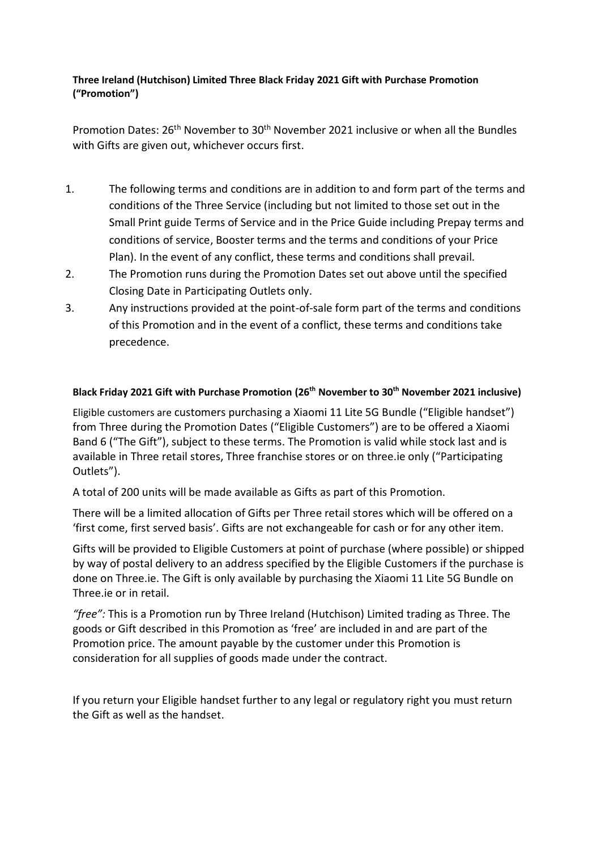## **Three Ireland (Hutchison) Limited Three Black Friday 2021 Gift with Purchase Promotion ("Promotion")**

Promotion Dates: 26th November to 30th November 2021 inclusive or when all the Bundles with Gifts are given out, whichever occurs first.

- 1. The following terms and conditions are in addition to and form part of the terms and conditions of the Three Service (including but not limited to those set out in the Small Print guide Terms of Service and in the Price Guide including Prepay terms and conditions of service, Booster terms and the terms and conditions of your Price Plan). In the event of any conflict, these terms and conditions shall prevail.
- 2. The Promotion runs during the Promotion Dates set out above until the specified Closing Date in Participating Outlets only.
- 3. Any instructions provided at the point-of-sale form part of the terms and conditions of this Promotion and in the event of a conflict, these terms and conditions take precedence.

## **Black Friday 2021 Gift with Purchase Promotion (26th November to 30th November 2021 inclusive)**

Eligible customers are customers purchasing a Xiaomi 11 Lite 5G Bundle ("Eligible handset") from Three during the Promotion Dates ("Eligible Customers") are to be offered a Xiaomi Band 6 ("The Gift"), subject to these terms. The Promotion is valid while stock last and is available in Three retail stores, Three franchise stores or on three.ie only ("Participating Outlets").

A total of 200 units will be made available as Gifts as part of this Promotion.

There will be a limited allocation of Gifts per Three retail stores which will be offered on a 'first come, first served basis'. Gifts are not exchangeable for cash or for any other item.

Gifts will be provided to Eligible Customers at point of purchase (where possible) or shipped by way of postal delivery to an address specified by the Eligible Customers if the purchase is done on Three.ie. The Gift is only available by purchasing the Xiaomi 11 Lite 5G Bundle on Three.ie or in retail.

*"free":* This is a Promotion run by Three Ireland (Hutchison) Limited trading as Three. The goods or Gift described in this Promotion as 'free' are included in and are part of the Promotion price. The amount payable by the customer under this Promotion is consideration for all supplies of goods made under the contract.

If you return your Eligible handset further to any legal or regulatory right you must return the Gift as well as the handset.